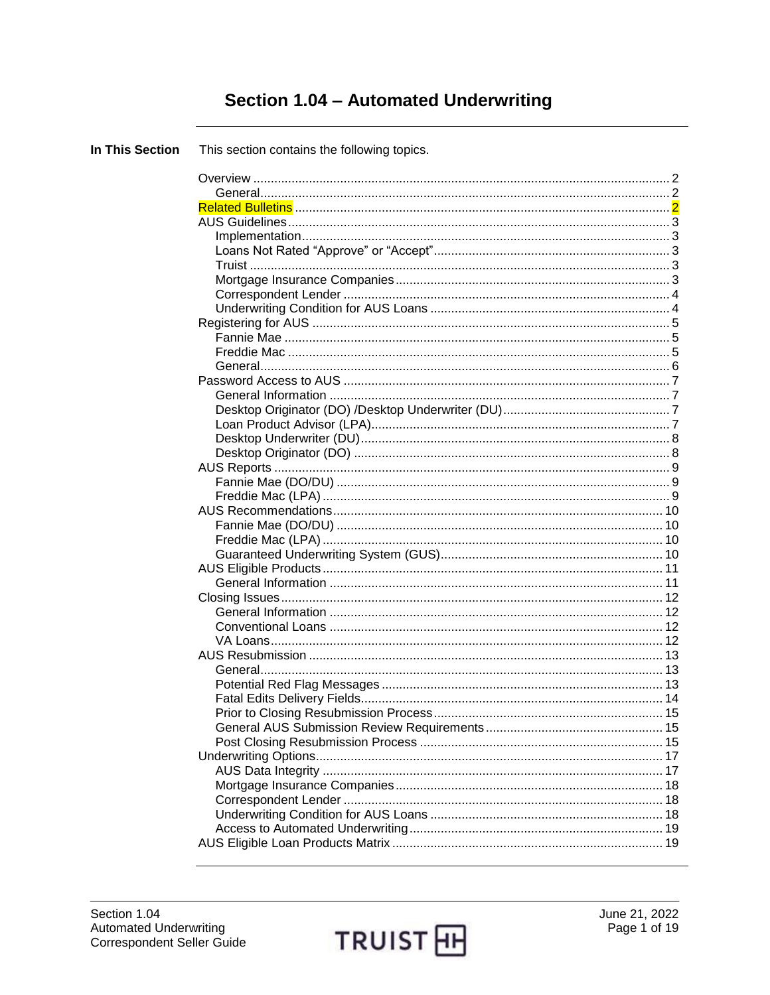# Section 1.04 - Automated Underwriting

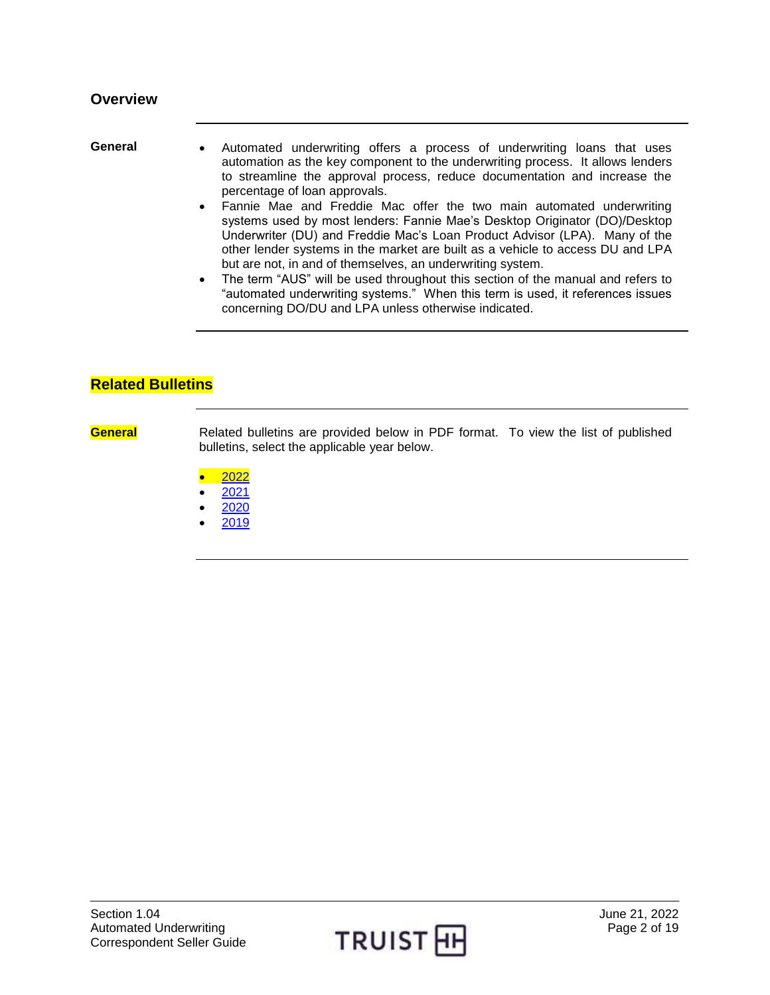- <span id="page-1-1"></span><span id="page-1-0"></span>General • Automated underwriting offers a process of underwriting loans that uses automation as the key component to the underwriting process. It allows lenders to streamline the approval process, reduce documentation and increase the percentage of loan approvals.
	- Fannie Mae and Freddie Mac offer the two main automated underwriting systems used by most lenders: Fannie Mae's Desktop Originator (DO)/Desktop Underwriter (DU) and Freddie Mac's Loan Product Advisor (LPA). Many of the other lender systems in the market are built as a vehicle to access DU and LPA but are not, in and of themselves, an underwriting system.
	- The term "AUS" will be used throughout this section of the manual and refers to "automated underwriting systems." When this term is used, it references issues concerning DO/DU and LPA unless otherwise indicated.

### <span id="page-1-2"></span>**Related Bulletins**

**General** Related bulletins are provided below in PDF format. To view the list of published bulletins, select the applicable year below.

- [2022](https://truistsellerguide.com/manual/cor/bulletins/Related%20Bulletins/2022/CAUS2022.pdf)
- [2021](https://truistsellerguide.com/manual/cor/bulletins/Related%20Bulletins/2021/CAUS2021.pdf)
- [2020](https://truistsellerguide.com/manual/cor/bulletins/Related%20Bulletins/2020/CAUS2020.pdf)
- [2019](https://truistsellerguide.com/manual/cor/bulletins/Related%20Bulletins/2019/CAUS2019.pdf)

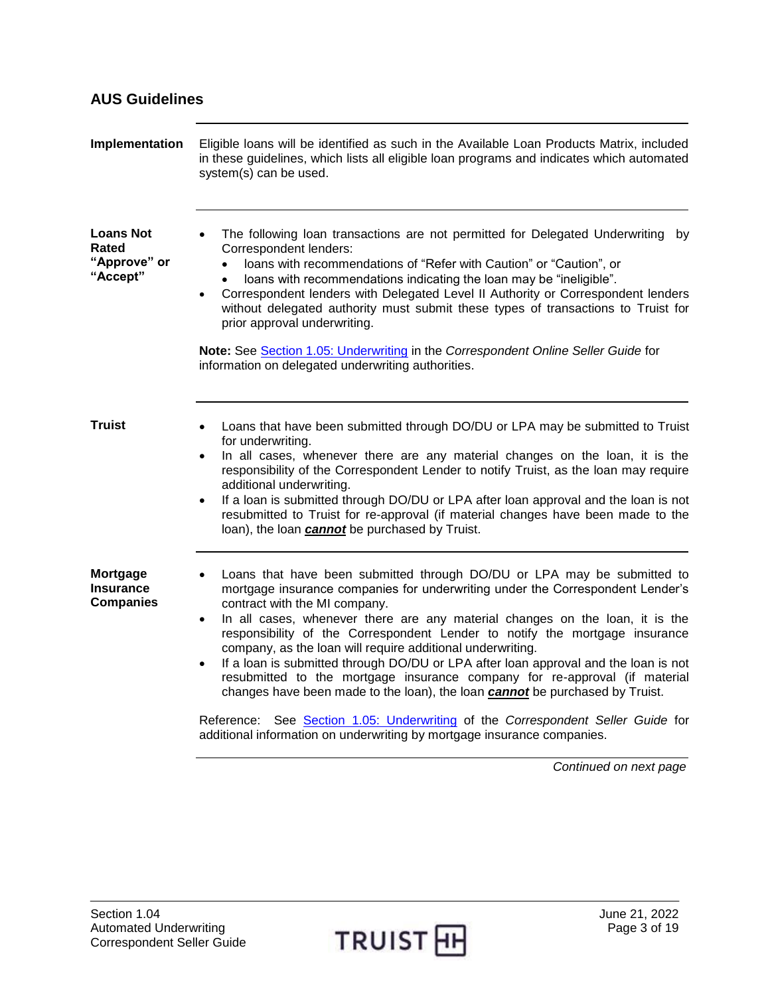<span id="page-2-3"></span><span id="page-2-2"></span><span id="page-2-1"></span><span id="page-2-0"></span>

| Implementation                                        | Eligible loans will be identified as such in the Available Loan Products Matrix, included<br>in these guidelines, which lists all eligible loan programs and indicates which automated<br>system(s) can be used.                                                                                                                                                                                                                                                                                                                                                                                                                                                                                                                                                                                                                                                            |
|-------------------------------------------------------|-----------------------------------------------------------------------------------------------------------------------------------------------------------------------------------------------------------------------------------------------------------------------------------------------------------------------------------------------------------------------------------------------------------------------------------------------------------------------------------------------------------------------------------------------------------------------------------------------------------------------------------------------------------------------------------------------------------------------------------------------------------------------------------------------------------------------------------------------------------------------------|
| <b>Loans Not</b><br>Rated<br>"Approve" or<br>"Accept" | The following loan transactions are not permitted for Delegated Underwriting by<br>Correspondent lenders:<br>loans with recommendations of "Refer with Caution" or "Caution", or<br>loans with recommendations indicating the loan may be "ineligible".<br>Correspondent lenders with Delegated Level II Authority or Correspondent lenders<br>$\bullet$<br>without delegated authority must submit these types of transactions to Truist for<br>prior approval underwriting.                                                                                                                                                                                                                                                                                                                                                                                               |
|                                                       | Note: See Section 1.05: Underwriting in the Correspondent Online Seller Guide for<br>information on delegated underwriting authorities.                                                                                                                                                                                                                                                                                                                                                                                                                                                                                                                                                                                                                                                                                                                                     |
| <b>Truist</b>                                         | Loans that have been submitted through DO/DU or LPA may be submitted to Truist<br>for underwriting.<br>In all cases, whenever there are any material changes on the loan, it is the<br>$\bullet$<br>responsibility of the Correspondent Lender to notify Truist, as the loan may require<br>additional underwriting.<br>If a loan is submitted through DO/DU or LPA after loan approval and the loan is not<br>$\bullet$<br>resubmitted to Truist for re-approval (if material changes have been made to the<br>loan), the loan <i>cannot</i> be purchased by Truist.                                                                                                                                                                                                                                                                                                       |
| Mortgage<br><b>Insurance</b><br><b>Companies</b>      | Loans that have been submitted through DO/DU or LPA may be submitted to<br>mortgage insurance companies for underwriting under the Correspondent Lender's<br>contract with the MI company.<br>In all cases, whenever there are any material changes on the loan, it is the<br>$\bullet$<br>responsibility of the Correspondent Lender to notify the mortgage insurance<br>company, as the loan will require additional underwriting.<br>If a loan is submitted through DO/DU or LPA after loan approval and the loan is not<br>$\bullet$<br>resubmitted to the mortgage insurance company for re-approval (if material<br>changes have been made to the loan), the loan <b>cannot</b> be purchased by Truist.<br>Reference: See Section 1.05: Underwriting of the Correspondent Seller Guide for<br>additional information on underwriting by mortgage insurance companies. |

<span id="page-2-4"></span>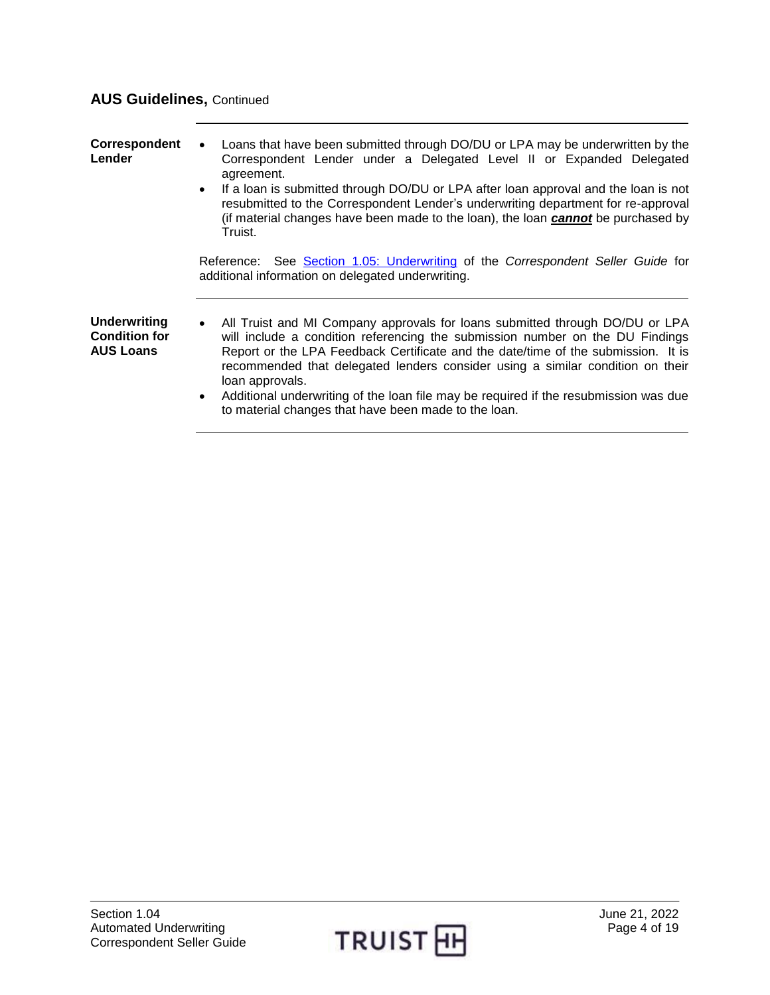## **AUS Guidelines,** Continued

<span id="page-3-1"></span><span id="page-3-0"></span>

| Correspondent<br>Lender                                         | Loans that have been submitted through DO/DU or LPA may be underwritten by the<br>$\bullet$<br>Correspondent Lender under a Delegated Level II or Expanded Delegated<br>agreement.<br>If a loan is submitted through DO/DU or LPA after loan approval and the loan is not<br>$\bullet$<br>resubmitted to the Correspondent Lender's underwriting department for re-approval<br>(if material changes have been made to the loan), the loan cannot be purchased by<br>Truist.                                                       |
|-----------------------------------------------------------------|-----------------------------------------------------------------------------------------------------------------------------------------------------------------------------------------------------------------------------------------------------------------------------------------------------------------------------------------------------------------------------------------------------------------------------------------------------------------------------------------------------------------------------------|
|                                                                 | Reference: See Section 1.05: Underwriting of the Correspondent Seller Guide for<br>additional information on delegated underwriting.                                                                                                                                                                                                                                                                                                                                                                                              |
| <b>Underwriting</b><br><b>Condition for</b><br><b>AUS Loans</b> | All Truist and MI Company approvals for loans submitted through DO/DU or LPA<br>$\bullet$<br>will include a condition referencing the submission number on the DU Findings<br>Report or the LPA Feedback Certificate and the date/time of the submission. It is<br>recommended that delegated lenders consider using a similar condition on their<br>loan approvals.<br>Additional underwriting of the loan file may be required if the resubmission was due<br>$\bullet$<br>to material changes that have been made to the loan. |

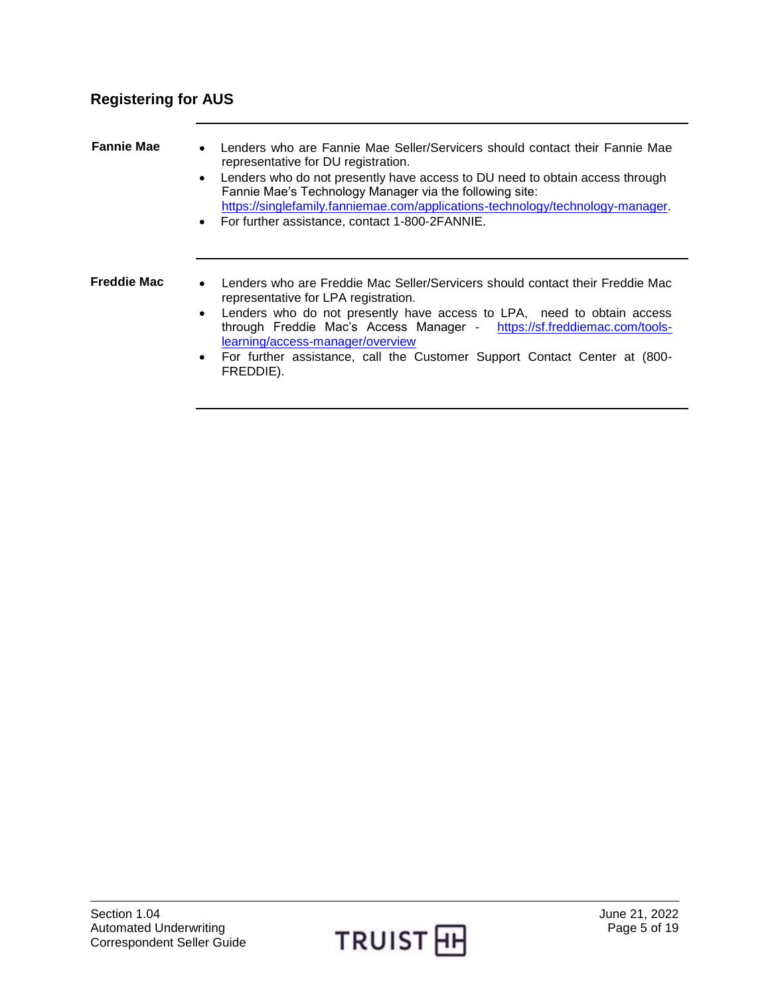# <span id="page-4-0"></span>**Registering for AUS**

<span id="page-4-2"></span><span id="page-4-1"></span>

| <b>Fannie Mae</b> | Lenders who are Fannie Mae Seller/Servicers should contact their Fannie Mae<br>$\bullet$<br>representative for DU registration.<br>Lenders who do not presently have access to DU need to obtain access through<br>Fannie Mae's Technology Manager via the following site:<br>https://singlefamily.fanniemae.com/applications-technology/technology-manager.<br>• For further assistance, contact 1-800-2FANNIE.                     |
|-------------------|--------------------------------------------------------------------------------------------------------------------------------------------------------------------------------------------------------------------------------------------------------------------------------------------------------------------------------------------------------------------------------------------------------------------------------------|
| Freddie Mac       | Lenders who are Freddie Mac Seller/Servicers should contact their Freddie Mac<br>$\bullet$<br>representative for LPA registration.<br>Lenders who do not presently have access to LPA, need to obtain access<br>$\bullet$<br>through Freddie Mac's Access Manager - https://sf.freddiemac.com/tools-<br>learning/access-manager/overview<br>• For further assistance, call the Customer Support Contact Center at (800-<br>FREDDIE). |

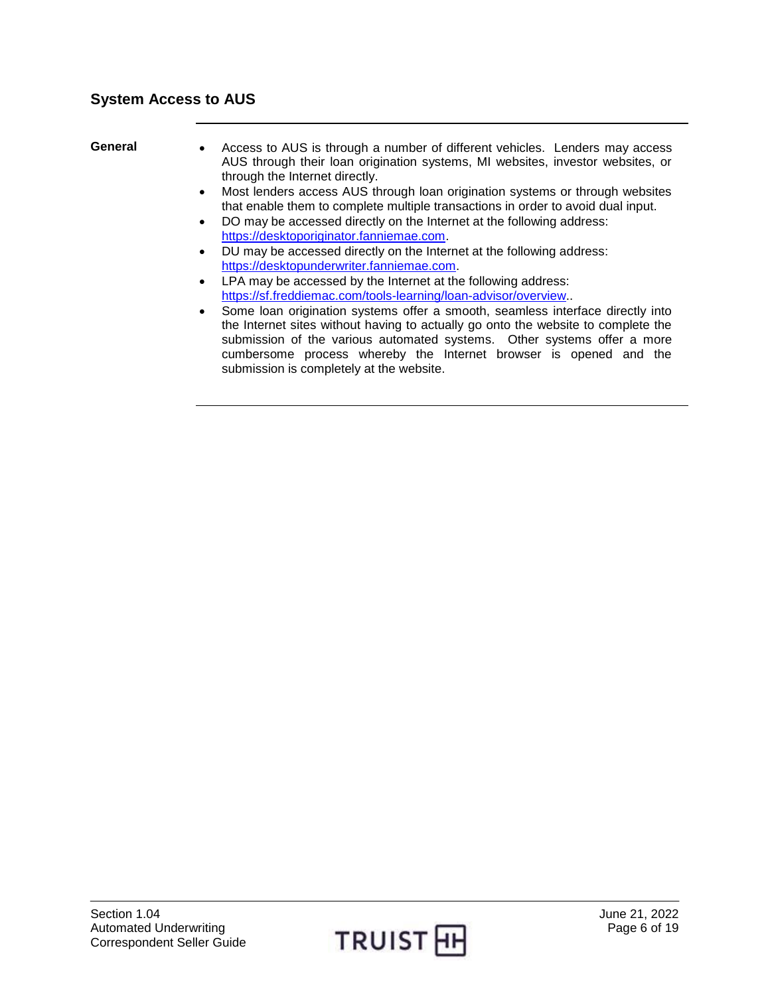- <span id="page-5-0"></span>General • Access to AUS is through a number of different vehicles. Lenders may access AUS through their loan origination systems, MI websites, investor websites, or through the Internet directly.
	- Most lenders access AUS through loan origination systems or through websites that enable them to complete multiple transactions in order to avoid dual input.
	- DO may be accessed directly on the Internet at the following address: [https://desktoporiginator.fanniemae.com.](https://desktoporiginator.fanniemae.com/)
	- DU may be accessed directly on the Internet at the following address: [https://desktopunderwriter.fanniemae.com.](https://desktopunderwriter.fanniemae.com/)
	- LPA may be accessed by the Internet at the following address: [https://sf.freddiemac.com/tools-learning/loan-advisor/overview.](https://sf.freddiemac.com/tools-learning/loan-advisor/overview).
	- Some loan origination systems offer a smooth, seamless interface directly into the Internet sites without having to actually go onto the website to complete the submission of the various automated systems. Other systems offer a more cumbersome process whereby the Internet browser is opened and the submission is completely at the website.

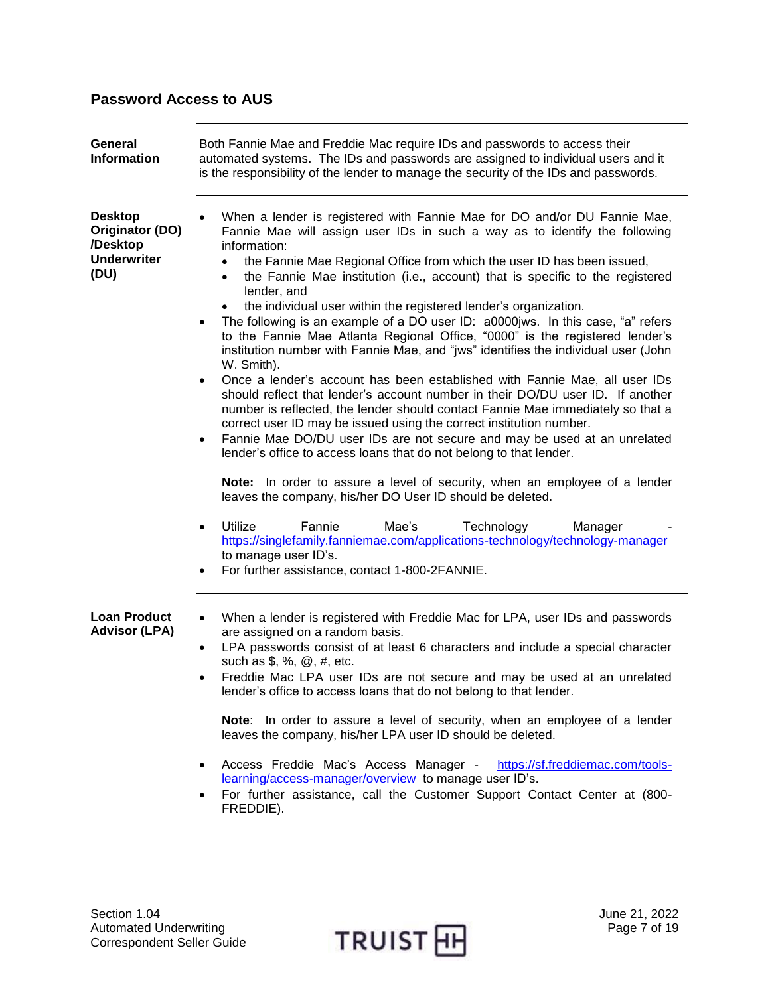## <span id="page-6-0"></span>**Password Access to AUS**

<span id="page-6-2"></span><span id="page-6-1"></span>

| General<br><b>Information</b>                                               | Both Fannie Mae and Freddie Mac require IDs and passwords to access their<br>automated systems. The IDs and passwords are assigned to individual users and it<br>is the responsibility of the lender to manage the security of the IDs and passwords.                                                                                                                                                                                                                                                                                                                                                                                                                                                                                                                                                                                                                                                                                                                                                                                                        |
|-----------------------------------------------------------------------------|--------------------------------------------------------------------------------------------------------------------------------------------------------------------------------------------------------------------------------------------------------------------------------------------------------------------------------------------------------------------------------------------------------------------------------------------------------------------------------------------------------------------------------------------------------------------------------------------------------------------------------------------------------------------------------------------------------------------------------------------------------------------------------------------------------------------------------------------------------------------------------------------------------------------------------------------------------------------------------------------------------------------------------------------------------------|
| <b>Desktop</b><br>Originator (DO)<br>/Desktop<br><b>Underwriter</b><br>(DU) | When a lender is registered with Fannie Mae for DO and/or DU Fannie Mae,<br>Fannie Mae will assign user IDs in such a way as to identify the following<br>information:<br>the Fannie Mae Regional Office from which the user ID has been issued,<br>the Fannie Mae institution (i.e., account) that is specific to the registered<br>$\bullet$<br>lender, and<br>the individual user within the registered lender's organization.<br>The following is an example of a DO user ID: a0000jws. In this case, "a" refers<br>$\bullet$<br>to the Fannie Mae Atlanta Regional Office, "0000" is the registered lender's<br>institution number with Fannie Mae, and "jws" identifies the individual user (John<br>W. Smith).<br>Once a lender's account has been established with Fannie Mae, all user IDs<br>$\bullet$<br>should reflect that lender's account number in their DO/DU user ID. If another<br>number is reflected, the lender should contact Fannie Mae immediately so that a<br>correct user ID may be issued using the correct institution number. |
|                                                                             | Fannie Mae DO/DU user IDs are not secure and may be used at an unrelated<br>٠<br>lender's office to access loans that do not belong to that lender.<br>Note: In order to assure a level of security, when an employee of a lender<br>leaves the company, his/her DO User ID should be deleted.<br><b>Utilize</b><br>Fannie<br>Mae's<br>Technology<br>Manager<br>$\bullet$<br>https://singlefamily.fanniemae.com/applications-technology/technology-manager<br>to manage user ID's.<br>For further assistance, contact 1-800-2FANNIE.                                                                                                                                                                                                                                                                                                                                                                                                                                                                                                                         |
| <b>Loan Product</b><br><b>Advisor (LPA)</b>                                 | When a lender is registered with Freddie Mac for LPA, user IDs and passwords<br>$\bullet$<br>are assigned on a random basis.<br>LPA passwords consist of at least 6 characters and include a special character<br>٠<br>such as $\frac{6}{3}$ , %, $\omega$ , #, etc.<br>Freddie Mac LPA user IDs are not secure and may be used at an unrelated<br>$\bullet$<br>lender's office to access loans that do not belong to that lender.<br>Note: In order to assure a level of security, when an employee of a lender<br>leaves the company, his/her LPA user ID should be deleted.<br>Access Freddie Mac's Access Manager - https://sf.freddiemac.com/tools-<br>$\bullet$<br>learning/access-manager/overview to manage user ID's.<br>For further assistance, call the Customer Support Contact Center at (800-<br>FREDDIE).                                                                                                                                                                                                                                     |

<span id="page-6-3"></span>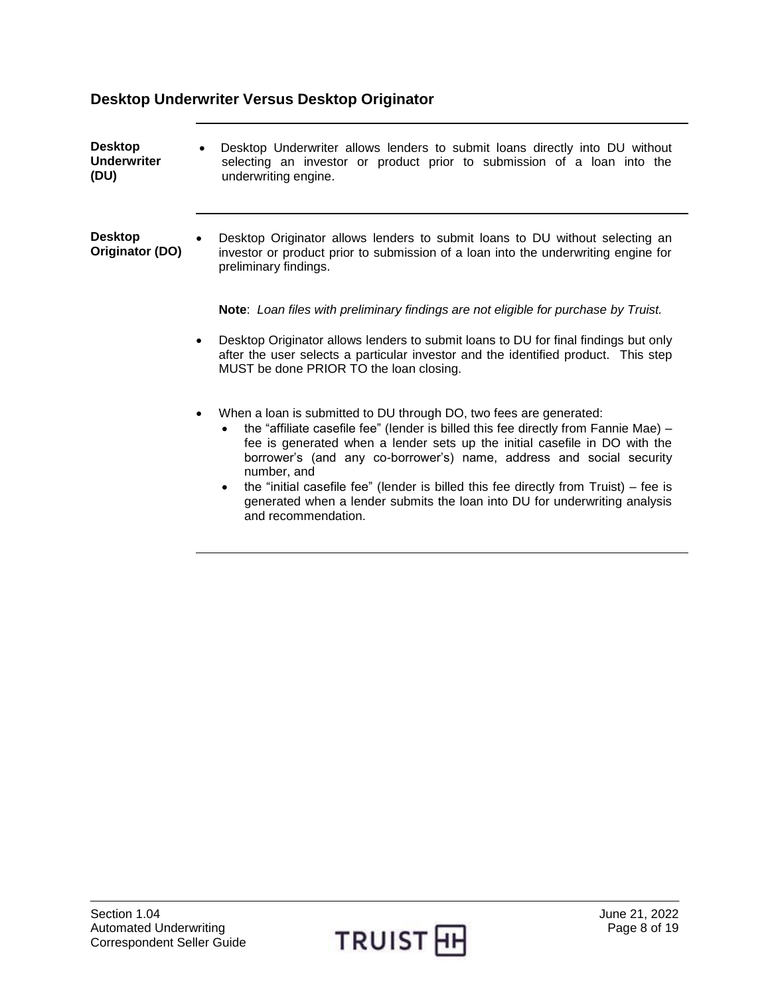## **Desktop Underwriter Versus Desktop Originator**

<span id="page-7-1"></span><span id="page-7-0"></span>

| <b>Desktop</b><br><b>Underwriter</b><br>(DU) | Desktop Underwriter allows lenders to submit loans directly into DU without<br>selecting an investor or product prior to submission of a loan into the<br>underwriting engine.                                                                                                                                                                                                                                                                                                                                                                           |
|----------------------------------------------|----------------------------------------------------------------------------------------------------------------------------------------------------------------------------------------------------------------------------------------------------------------------------------------------------------------------------------------------------------------------------------------------------------------------------------------------------------------------------------------------------------------------------------------------------------|
| <b>Desktop</b><br>Originator (DO)            | Desktop Originator allows lenders to submit loans to DU without selecting an<br>investor or product prior to submission of a loan into the underwriting engine for<br>preliminary findings.                                                                                                                                                                                                                                                                                                                                                              |
|                                              | Note: Loan files with preliminary findings are not eligible for purchase by Truist.                                                                                                                                                                                                                                                                                                                                                                                                                                                                      |
|                                              | Desktop Originator allows lenders to submit loans to DU for final findings but only<br>after the user selects a particular investor and the identified product. This step<br>MUST be done PRIOR TO the loan closing.                                                                                                                                                                                                                                                                                                                                     |
|                                              | When a loan is submitted to DU through DO, two fees are generated:<br>$\bullet$<br>the "affiliate casefile fee" (lender is billed this fee directly from Fannie Mae) -<br>fee is generated when a lender sets up the initial casefile in DO with the<br>borrower's (and any co-borrower's) name, address and social security<br>number, and<br>the "initial casefile fee" (lender is billed this fee directly from $Truist$ ) – fee is<br>$\bullet$<br>generated when a lender submits the loan into DU for underwriting analysis<br>and recommendation. |

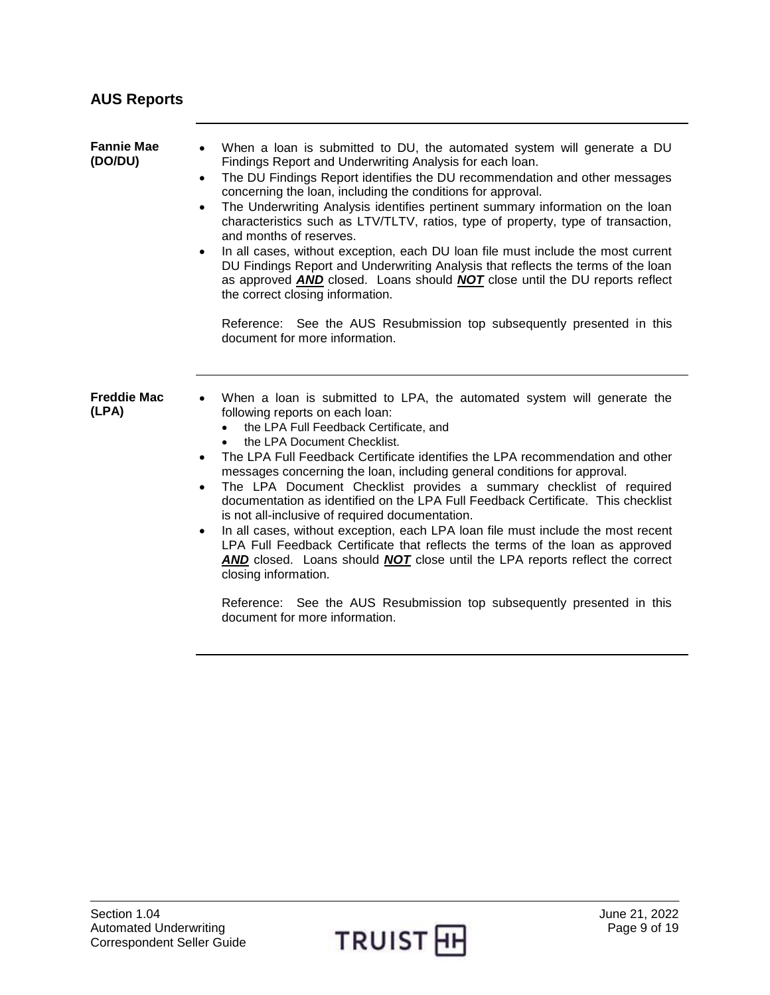<span id="page-8-2"></span><span id="page-8-1"></span><span id="page-8-0"></span>

| <b>AUS Reports</b>           |                                                                                                                                                                                                                                                                                                                                                                                                                                                                                                                                                                                                                                                                                                                                                                                                                                                                                                                                                                                                              |
|------------------------------|--------------------------------------------------------------------------------------------------------------------------------------------------------------------------------------------------------------------------------------------------------------------------------------------------------------------------------------------------------------------------------------------------------------------------------------------------------------------------------------------------------------------------------------------------------------------------------------------------------------------------------------------------------------------------------------------------------------------------------------------------------------------------------------------------------------------------------------------------------------------------------------------------------------------------------------------------------------------------------------------------------------|
| <b>Fannie Mae</b><br>(DO/DU) | When a loan is submitted to DU, the automated system will generate a DU<br>Findings Report and Underwriting Analysis for each loan.<br>The DU Findings Report identifies the DU recommendation and other messages<br>$\bullet$<br>concerning the loan, including the conditions for approval.<br>The Underwriting Analysis identifies pertinent summary information on the loan<br>$\bullet$<br>characteristics such as LTV/TLTV, ratios, type of property, type of transaction,<br>and months of reserves.<br>In all cases, without exception, each DU loan file must include the most current<br>$\bullet$<br>DU Findings Report and Underwriting Analysis that reflects the terms of the loan<br>as approved AND closed. Loans should NOT close until the DU reports reflect<br>the correct closing information.                                                                                                                                                                                          |
|                              | Reference: See the AUS Resubmission top subsequently presented in this<br>document for more information.                                                                                                                                                                                                                                                                                                                                                                                                                                                                                                                                                                                                                                                                                                                                                                                                                                                                                                     |
| <b>Freddie Mac</b><br>(LPA)  | When a loan is submitted to LPA, the automated system will generate the<br>following reports on each loan:<br>the LPA Full Feedback Certificate, and<br>the LPA Document Checklist.<br>The LPA Full Feedback Certificate identifies the LPA recommendation and other<br>$\bullet$<br>messages concerning the loan, including general conditions for approval.<br>The LPA Document Checklist provides a summary checklist of required<br>$\bullet$<br>documentation as identified on the LPA Full Feedback Certificate. This checklist<br>is not all-inclusive of required documentation.<br>In all cases, without exception, each LPA loan file must include the most recent<br>$\bullet$<br>LPA Full Feedback Certificate that reflects the terms of the loan as approved<br><b>AND</b> closed. Loans should <b>NOT</b> close until the LPA reports reflect the correct<br>closing information.<br>Reference: See the AUS Resubmission top subsequently presented in this<br>document for more information. |

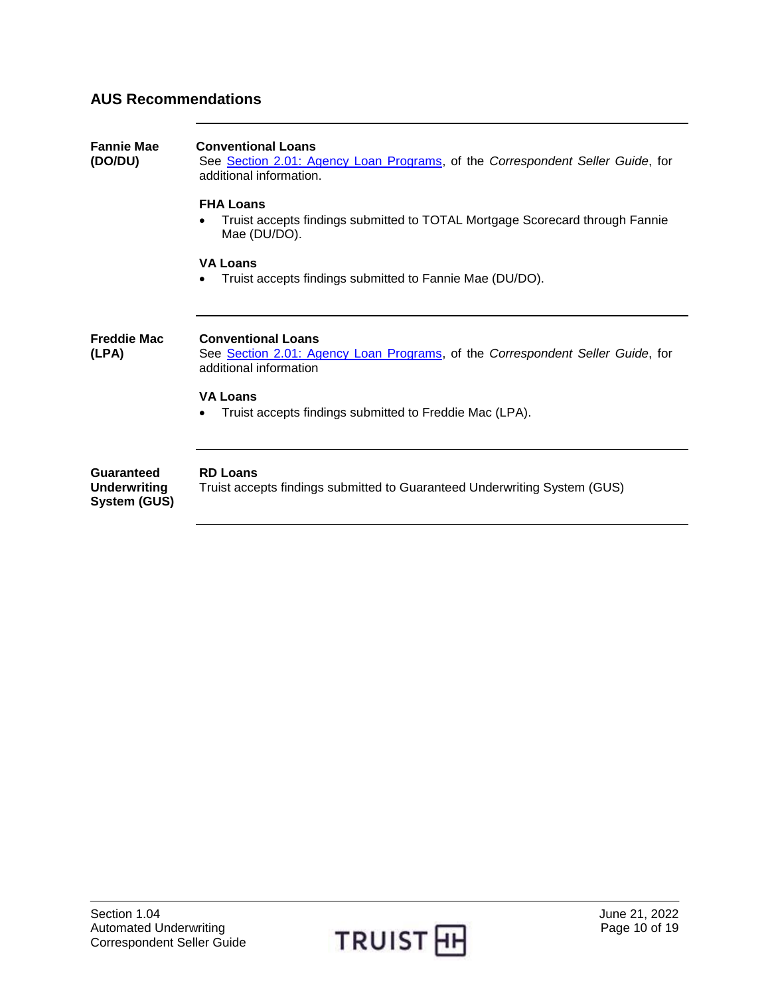## <span id="page-9-0"></span>**AUS Recommendations**

<span id="page-9-3"></span><span id="page-9-2"></span><span id="page-9-1"></span>

| <b>Fannie Mae</b><br>(DO/DU)                      | <b>Conventional Loans</b><br>See Section 2.01: Agency Loan Programs, of the Correspondent Seller Guide, for<br>additional information. |
|---------------------------------------------------|----------------------------------------------------------------------------------------------------------------------------------------|
|                                                   | <b>FHA Loans</b><br>Truist accepts findings submitted to TOTAL Mortgage Scorecard through Fannie<br>Mae (DU/DO).                       |
|                                                   | <b>VA Loans</b><br>Truist accepts findings submitted to Fannie Mae (DU/DO).<br>$\bullet$                                               |
| <b>Freddie Mac</b><br>(LPA)                       | <b>Conventional Loans</b><br>See Section 2.01: Agency Loan Programs, of the Correspondent Seller Guide, for<br>additional information  |
|                                                   | <b>VA Loans</b><br>Truist accepts findings submitted to Freddie Mac (LPA).                                                             |
| Guaranteed<br><b>Underwriting</b><br>System (GUS) | <b>RD Loans</b><br>Truist accepts findings submitted to Guaranteed Underwriting System (GUS)                                           |
|                                                   |                                                                                                                                        |

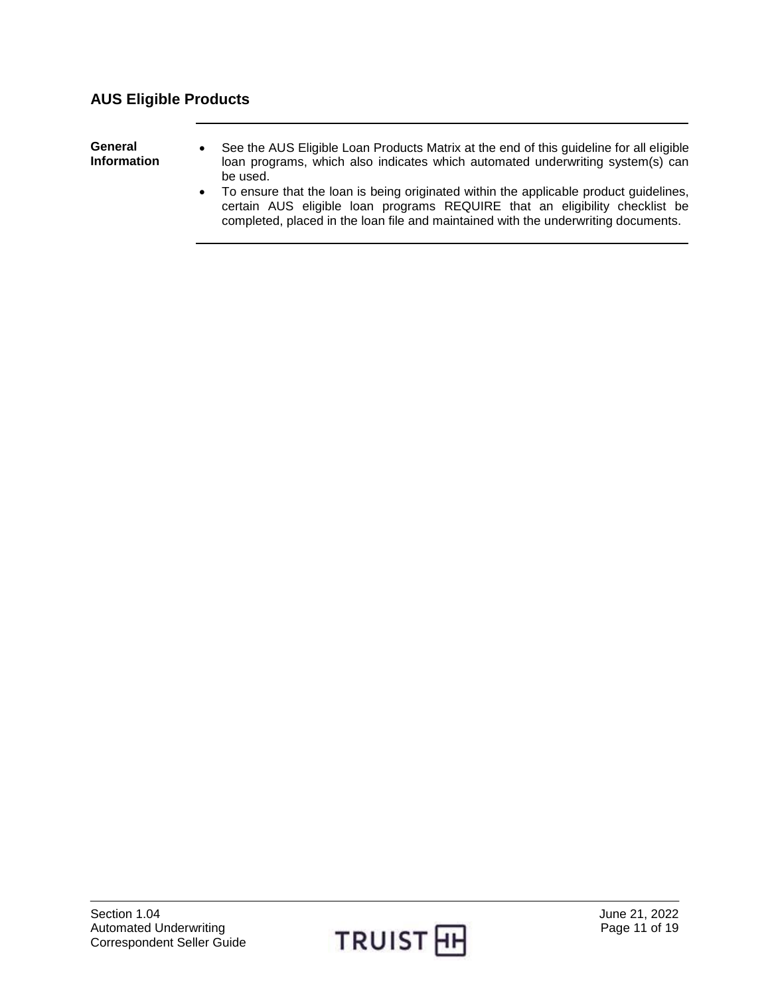## <span id="page-10-0"></span>**AUS Eligible Products**

<span id="page-10-1"></span>**General Information**

- See the AUS Eligible Loan Products Matrix at the end of this guideline for all eligible loan programs, which also indicates which automated underwriting system(s) can be used.
- To ensure that the loan is being originated within the applicable product guidelines, certain AUS eligible loan programs REQUIRE that an eligibility checklist be completed, placed in the loan file and maintained with the underwriting documents.

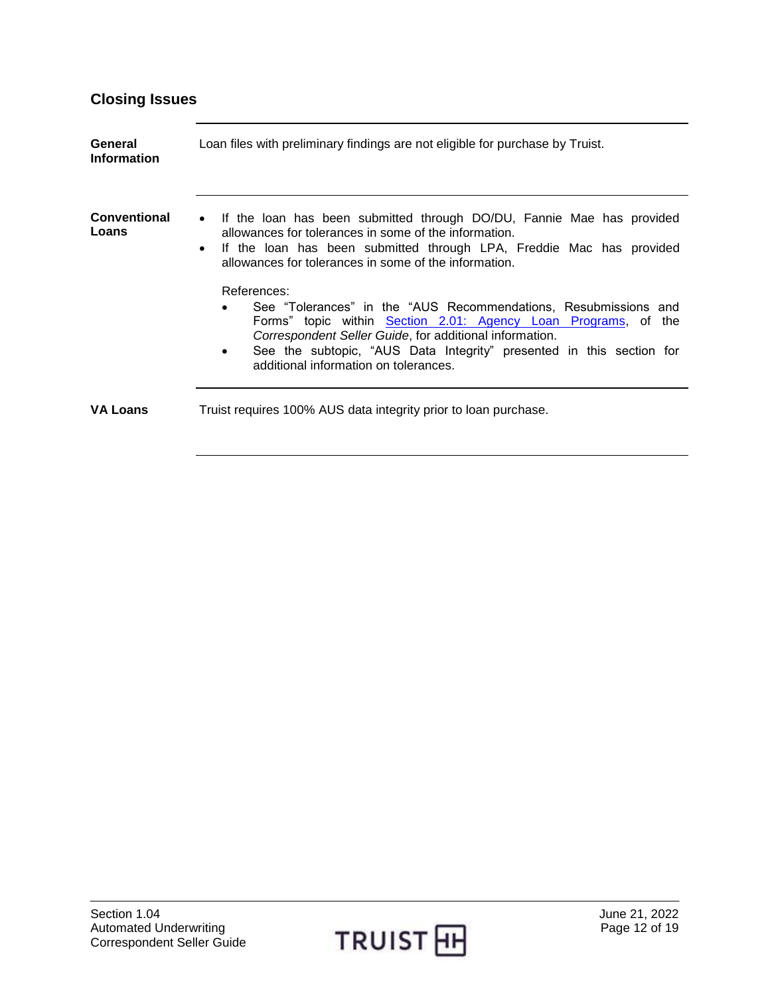## <span id="page-11-0"></span>**Closing Issues**

<span id="page-11-3"></span><span id="page-11-2"></span><span id="page-11-1"></span>

| General<br><b>Information</b> | Loan files with preliminary findings are not eligible for purchase by Truist.                                                                                                                                                                                                                                                                                                                                                                                                                                                                                                                                             |
|-------------------------------|---------------------------------------------------------------------------------------------------------------------------------------------------------------------------------------------------------------------------------------------------------------------------------------------------------------------------------------------------------------------------------------------------------------------------------------------------------------------------------------------------------------------------------------------------------------------------------------------------------------------------|
| <b>Conventional</b><br>Loans  | If the loan has been submitted through DO/DU, Fannie Mae has provided<br>allowances for tolerances in some of the information.<br>If the loan has been submitted through LPA, Freddie Mac has provided<br>$\bullet$<br>allowances for tolerances in some of the information.<br>References:<br>See "Tolerances" in the "AUS Recommendations, Resubmissions and<br>Forms" topic within Section 2.01: Agency Loan Programs, of the<br>Correspondent Seller Guide, for additional information.<br>See the subtopic, "AUS Data Integrity" presented in this section for<br>$\bullet$<br>additional information on tolerances. |
| <b>VA Loans</b>               | Truist requires 100% AUS data integrity prior to loan purchase.                                                                                                                                                                                                                                                                                                                                                                                                                                                                                                                                                           |

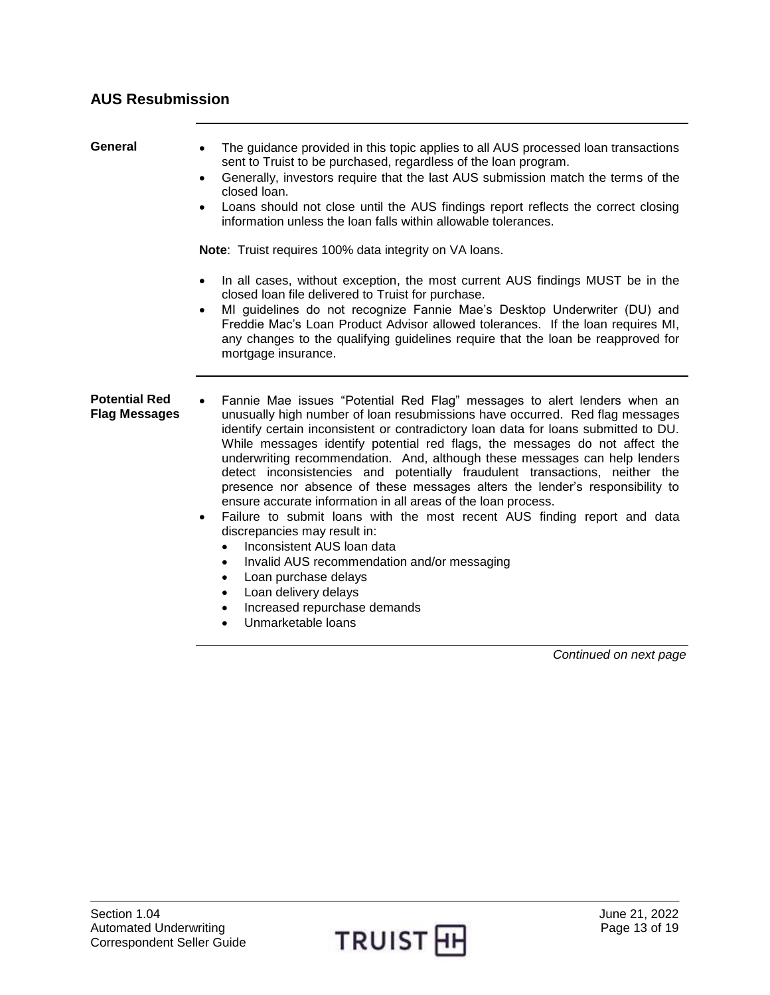<span id="page-12-2"></span><span id="page-12-1"></span><span id="page-12-0"></span>

| General                                      | The guidance provided in this topic applies to all AUS processed loan transactions<br>sent to Truist to be purchased, regardless of the loan program.<br>Generally, investors require that the last AUS submission match the terms of the<br>$\bullet$<br>closed loan.<br>Loans should not close until the AUS findings report reflects the correct closing<br>information unless the loan falls within allowable tolerances.                                                                                                                                                                                                                                                                                                                                                                                                                                                                                                                                                                                             |
|----------------------------------------------|---------------------------------------------------------------------------------------------------------------------------------------------------------------------------------------------------------------------------------------------------------------------------------------------------------------------------------------------------------------------------------------------------------------------------------------------------------------------------------------------------------------------------------------------------------------------------------------------------------------------------------------------------------------------------------------------------------------------------------------------------------------------------------------------------------------------------------------------------------------------------------------------------------------------------------------------------------------------------------------------------------------------------|
|                                              | Note: Truist requires 100% data integrity on VA loans.<br>In all cases, without exception, the most current AUS findings MUST be in the<br>$\bullet$<br>closed loan file delivered to Truist for purchase.<br>MI guidelines do not recognize Fannie Mae's Desktop Underwriter (DU) and<br>$\bullet$<br>Freddie Mac's Loan Product Advisor allowed tolerances. If the loan requires MI,<br>any changes to the qualifying guidelines require that the loan be reapproved for<br>mortgage insurance.                                                                                                                                                                                                                                                                                                                                                                                                                                                                                                                         |
| <b>Potential Red</b><br><b>Flag Messages</b> | Fannie Mae issues "Potential Red Flag" messages to alert lenders when an<br>unusually high number of loan resubmissions have occurred. Red flag messages<br>identify certain inconsistent or contradictory loan data for loans submitted to DU.<br>While messages identify potential red flags, the messages do not affect the<br>underwriting recommendation. And, although these messages can help lenders<br>detect inconsistencies and potentially fraudulent transactions, neither the<br>presence nor absence of these messages alters the lender's responsibility to<br>ensure accurate information in all areas of the loan process.<br>Failure to submit loans with the most recent AUS finding report and data<br>$\bullet$<br>discrepancies may result in:<br>Inconsistent AUS loan data<br>$\bullet$<br>Invalid AUS recommendation and/or messaging<br>$\bullet$<br>Loan purchase delays<br>$\bullet$<br>Loan delivery delays<br>$\bullet$<br>Increased repurchase demands<br>$\bullet$<br>Unmarketable loans |

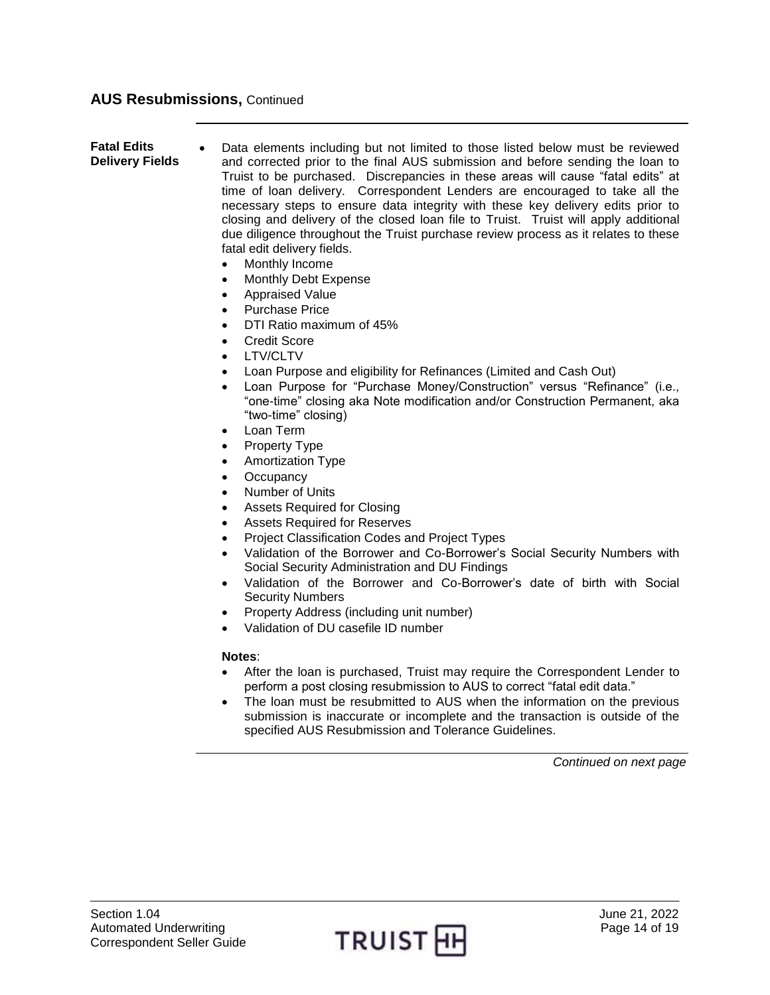#### **AUS Resubmissions,** Continued

<span id="page-13-0"></span>**Fatal Edits Delivery Fields** Data elements including but not limited to those listed below must be reviewed and corrected prior to the final AUS submission and before sending the loan to Truist to be purchased. Discrepancies in these areas will cause "fatal edits" at time of loan delivery. Correspondent Lenders are encouraged to take all the necessary steps to ensure data integrity with these key delivery edits prior to closing and delivery of the closed loan file to Truist. Truist will apply additional due diligence throughout the Truist purchase review process as it relates to these fatal edit delivery fields.

- Monthly Income
- Monthly Debt Expense
- Appraised Value
- Purchase Price
- DTI Ratio maximum of 45%
- Credit Score
- LTV/CLTV
- Loan Purpose and eligibility for Refinances (Limited and Cash Out)
- Loan Purpose for "Purchase Money/Construction" versus "Refinance" (i.e., "one-time" closing aka Note modification and/or Construction Permanent, aka "two-time" closing)
- Loan Term
- Property Type
- Amortization Type
- **Occupancy**
- Number of Units
- Assets Required for Closing
- Assets Required for Reserves
- Project Classification Codes and Project Types
- Validation of the Borrower and Co-Borrower's Social Security Numbers with Social Security Administration and DU Findings
- Validation of the Borrower and Co-Borrower's date of birth with Social Security Numbers
- Property Address (including unit number)
- Validation of DU casefile ID number

#### **Notes**:

- After the loan is purchased, Truist may require the Correspondent Lender to perform a post closing resubmission to AUS to correct "fatal edit data."
- The loan must be resubmitted to AUS when the information on the previous submission is inaccurate or incomplete and the transaction is outside of the specified AUS Resubmission and Tolerance Guidelines.

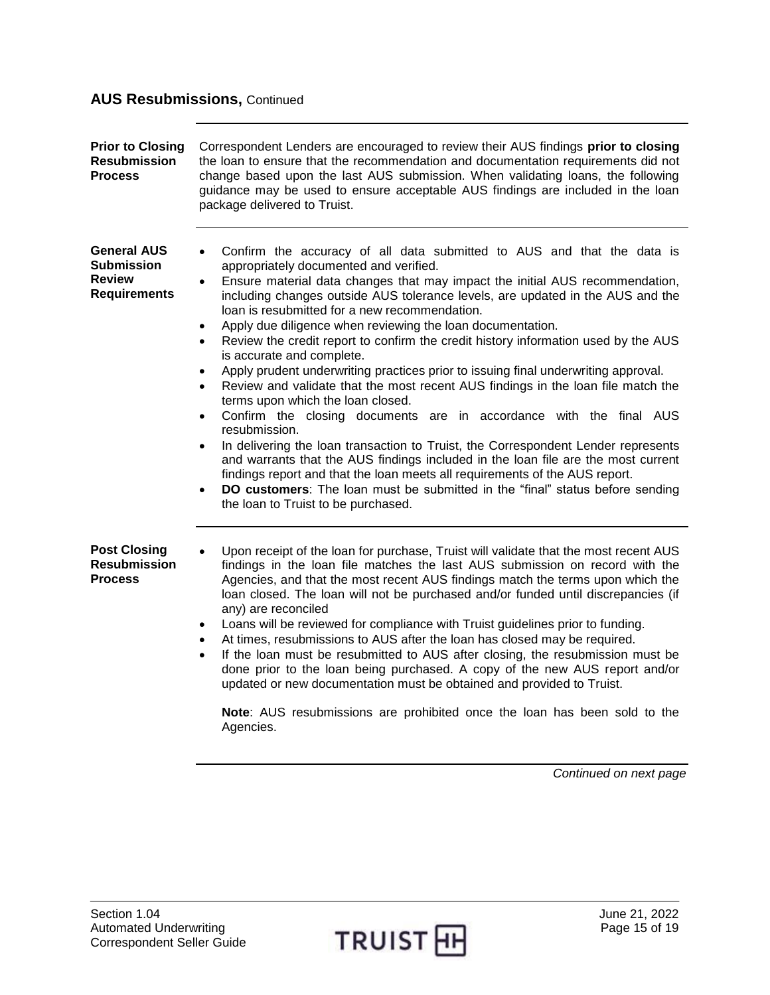## **AUS Resubmissions,** Continued

<span id="page-14-2"></span><span id="page-14-1"></span><span id="page-14-0"></span>

| <b>Prior to Closing</b><br><b>Resubmission</b><br><b>Process</b>                | Correspondent Lenders are encouraged to review their AUS findings prior to closing<br>the loan to ensure that the recommendation and documentation requirements did not<br>change based upon the last AUS submission. When validating loans, the following<br>guidance may be used to ensure acceptable AUS findings are included in the loan<br>package delivered to Truist.                                                                                                                                                                                                                                                                                                                                                                                                                                                                                                                                                                                                                                                                                                                                                                                                                                                                                                                                              |
|---------------------------------------------------------------------------------|----------------------------------------------------------------------------------------------------------------------------------------------------------------------------------------------------------------------------------------------------------------------------------------------------------------------------------------------------------------------------------------------------------------------------------------------------------------------------------------------------------------------------------------------------------------------------------------------------------------------------------------------------------------------------------------------------------------------------------------------------------------------------------------------------------------------------------------------------------------------------------------------------------------------------------------------------------------------------------------------------------------------------------------------------------------------------------------------------------------------------------------------------------------------------------------------------------------------------------------------------------------------------------------------------------------------------|
| <b>General AUS</b><br><b>Submission</b><br><b>Review</b><br><b>Requirements</b> | Confirm the accuracy of all data submitted to AUS and that the data is<br>$\bullet$<br>appropriately documented and verified.<br>Ensure material data changes that may impact the initial AUS recommendation,<br>including changes outside AUS tolerance levels, are updated in the AUS and the<br>loan is resubmitted for a new recommendation.<br>Apply due diligence when reviewing the loan documentation.<br>$\bullet$<br>Review the credit report to confirm the credit history information used by the AUS<br>$\bullet$<br>is accurate and complete.<br>Apply prudent underwriting practices prior to issuing final underwriting approval.<br>$\bullet$<br>Review and validate that the most recent AUS findings in the loan file match the<br>$\bullet$<br>terms upon which the loan closed.<br>Confirm the closing documents are in accordance with the final AUS<br>$\bullet$<br>resubmission.<br>In delivering the loan transaction to Truist, the Correspondent Lender represents<br>$\bullet$<br>and warrants that the AUS findings included in the loan file are the most current<br>findings report and that the loan meets all requirements of the AUS report.<br><b>DO customers:</b> The loan must be submitted in the "final" status before sending<br>$\bullet$<br>the loan to Truist to be purchased. |
| <b>Post Closing</b><br><b>Resubmission</b><br><b>Process</b>                    | Upon receipt of the loan for purchase, Truist will validate that the most recent AUS<br>findings in the loan file matches the last AUS submission on record with the<br>Agencies, and that the most recent AUS findings match the terms upon which the<br>loan closed. The loan will not be purchased and/or funded until discrepancies (if<br>any) are reconciled<br>Loans will be reviewed for compliance with Truist guidelines prior to funding.<br>$\bullet$<br>At times, resubmissions to AUS after the loan has closed may be required.<br>If the loan must be resubmitted to AUS after closing, the resubmission must be<br>$\bullet$<br>done prior to the loan being purchased. A copy of the new AUS report and/or<br>updated or new documentation must be obtained and provided to Truist.<br>Note: AUS resubmissions are prohibited once the loan has been sold to the<br>Agencies.                                                                                                                                                                                                                                                                                                                                                                                                                            |

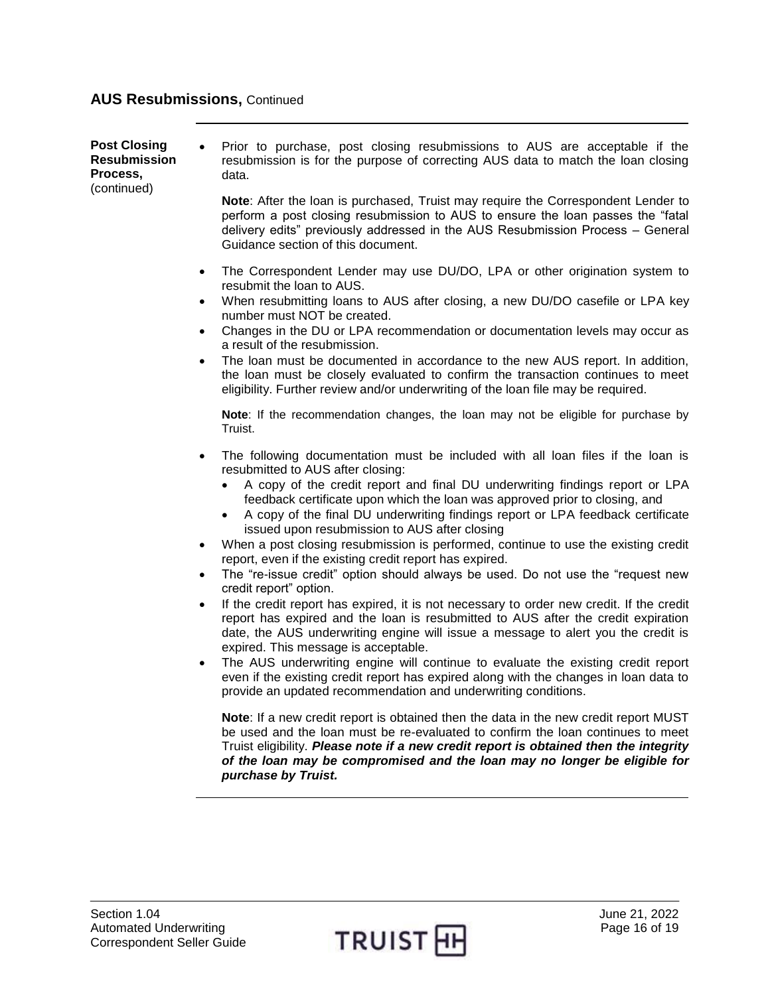#### **AUS Resubmissions,** Continued

**Post Closing Resubmission Process,**  (continued) Prior to purchase, post closing resubmissions to AUS are acceptable if the resubmission is for the purpose of correcting AUS data to match the loan closing data.

**Note**: After the loan is purchased, Truist may require the Correspondent Lender to perform a post closing resubmission to AUS to ensure the loan passes the "fatal delivery edits" previously addressed in the AUS Resubmission Process – General Guidance section of this document.

- The Correspondent Lender may use DU/DO, LPA or other origination system to resubmit the loan to AUS.
- When resubmitting loans to AUS after closing, a new DU/DO casefile or LPA key number must NOT be created.
- Changes in the DU or LPA recommendation or documentation levels may occur as a result of the resubmission.
- The loan must be documented in accordance to the new AUS report. In addition, the loan must be closely evaluated to confirm the transaction continues to meet eligibility. Further review and/or underwriting of the loan file may be required.

**Note**: If the recommendation changes, the loan may not be eligible for purchase by Truist.

- The following documentation must be included with all loan files if the loan is resubmitted to AUS after closing:
	- A copy of the credit report and final DU underwriting findings report or LPA feedback certificate upon which the loan was approved prior to closing, and
	- A copy of the final DU underwriting findings report or LPA feedback certificate issued upon resubmission to AUS after closing
- When a post closing resubmission is performed, continue to use the existing credit report, even if the existing credit report has expired.
- The "re-issue credit" option should always be used. Do not use the "request new credit report" option.
- If the credit report has expired, it is not necessary to order new credit. If the credit report has expired and the loan is resubmitted to AUS after the credit expiration date, the AUS underwriting engine will issue a message to alert you the credit is expired. This message is acceptable.
- The AUS underwriting engine will continue to evaluate the existing credit report even if the existing credit report has expired along with the changes in loan data to provide an updated recommendation and underwriting conditions.

**Note**: If a new credit report is obtained then the data in the new credit report MUST be used and the loan must be re-evaluated to confirm the loan continues to meet Truist eligibility. *Please note if a new credit report is obtained then the integrity of the loan may be compromised and the loan may no longer be eligible for purchase by Truist.*

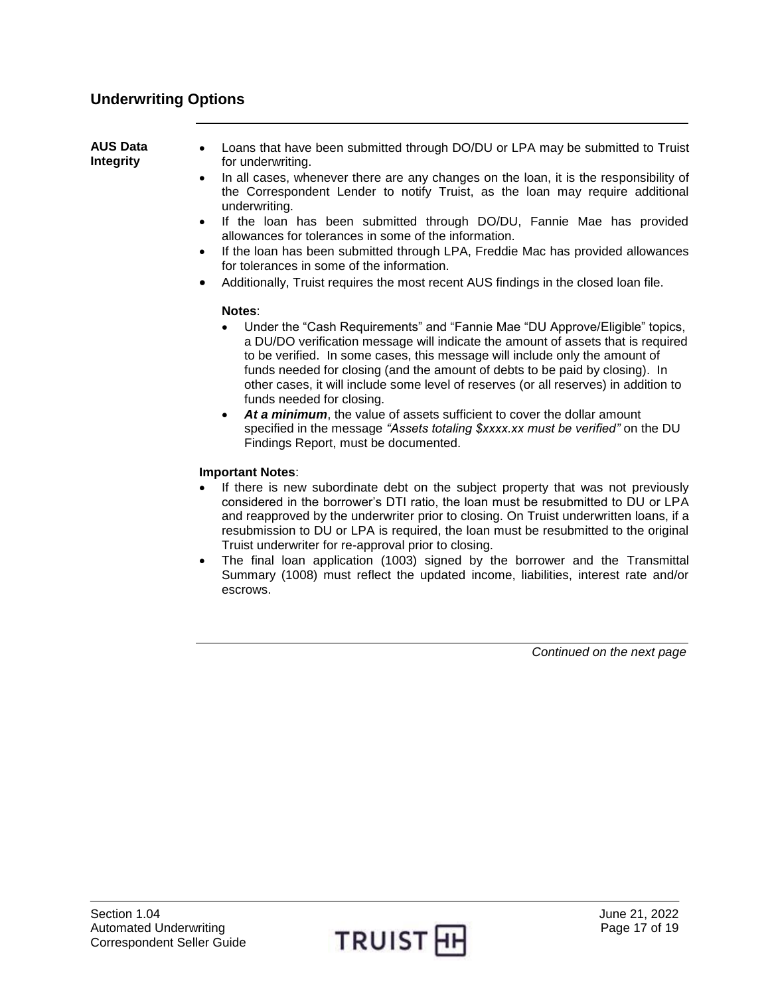### <span id="page-16-0"></span>**Underwriting Options**

<span id="page-16-1"></span>**AUS Data Integrity** Loans that have been submitted through DO/DU or LPA may be submitted to Truist for underwriting. In all cases, whenever there are any changes on the loan, it is the responsibility of the Correspondent Lender to notify Truist, as the loan may require additional underwriting. If the loan has been submitted through DO/DU, Fannie Mae has provided allowances for tolerances in some of the information.

- If the loan has been submitted through LPA, Freddie Mac has provided allowances for tolerances in some of the information.
- Additionally, Truist requires the most recent AUS findings in the closed loan file.

#### **Notes**:

- Under the "Cash Requirements" and "Fannie Mae "DU Approve/Eligible" topics, a DU/DO verification message will indicate the amount of assets that is required to be verified. In some cases, this message will include only the amount of funds needed for closing (and the amount of debts to be paid by closing). In other cases, it will include some level of reserves (or all reserves) in addition to funds needed for closing.
- At a minimum, the value of assets sufficient to cover the dollar amount specified in the message *"Assets totaling \$xxxx.xx must be verified"* on the DU Findings Report, must be documented.

#### **Important Notes**:

- If there is new subordinate debt on the subject property that was not previously considered in the borrower's DTI ratio, the loan must be resubmitted to DU or LPA and reapproved by the underwriter prior to closing. On Truist underwritten loans, if a resubmission to DU or LPA is required, the loan must be resubmitted to the original Truist underwriter for re-approval prior to closing.
- The final loan application (1003) signed by the borrower and the Transmittal Summary (1008) must reflect the updated income, liabilities, interest rate and/or escrows.

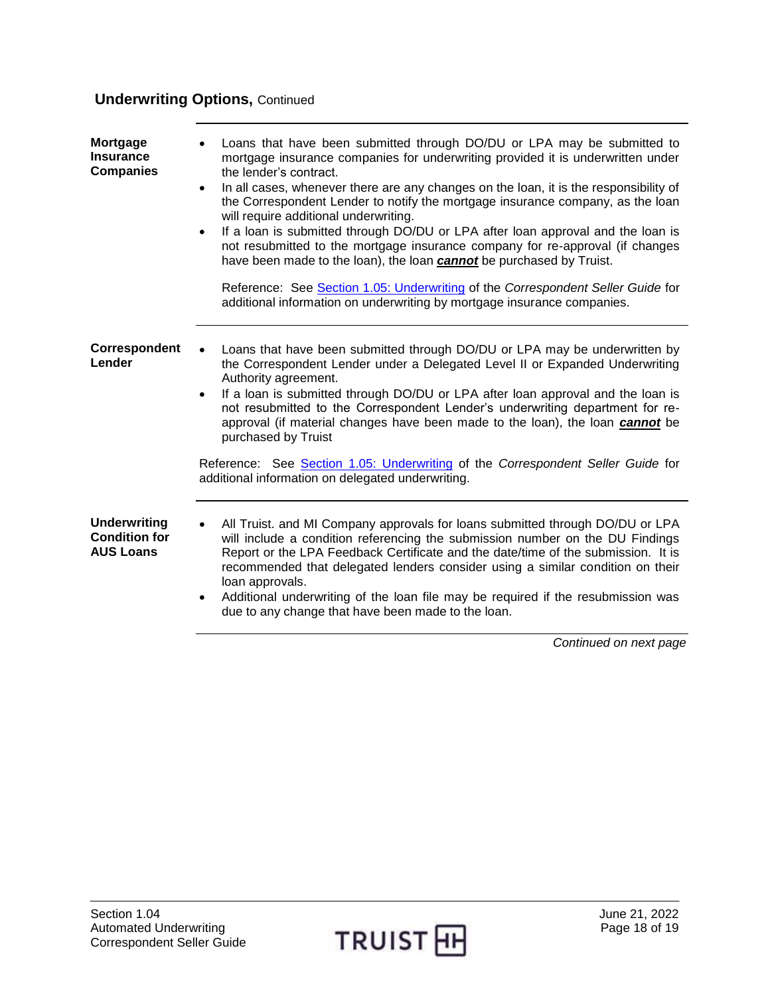## **Underwriting Options, Continued**

<span id="page-17-2"></span><span id="page-17-1"></span><span id="page-17-0"></span>

| <b>Mortgage</b><br><b>Insurance</b><br><b>Companies</b>         | Loans that have been submitted through DO/DU or LPA may be submitted to<br>mortgage insurance companies for underwriting provided it is underwritten under<br>the lender's contract.<br>In all cases, whenever there are any changes on the loan, it is the responsibility of<br>$\bullet$<br>the Correspondent Lender to notify the mortgage insurance company, as the loan<br>will require additional underwriting.<br>If a loan is submitted through DO/DU or LPA after loan approval and the loan is<br>$\bullet$<br>not resubmitted to the mortgage insurance company for re-approval (if changes<br>have been made to the loan), the loan cannot be purchased by Truist.<br>Reference: See Section 1.05: Underwriting of the Correspondent Seller Guide for<br>additional information on underwriting by mortgage insurance companies. |
|-----------------------------------------------------------------|----------------------------------------------------------------------------------------------------------------------------------------------------------------------------------------------------------------------------------------------------------------------------------------------------------------------------------------------------------------------------------------------------------------------------------------------------------------------------------------------------------------------------------------------------------------------------------------------------------------------------------------------------------------------------------------------------------------------------------------------------------------------------------------------------------------------------------------------|
| Correspondent<br>Lender                                         | Loans that have been submitted through DO/DU or LPA may be underwritten by<br>the Correspondent Lender under a Delegated Level II or Expanded Underwriting<br>Authority agreement.<br>If a loan is submitted through DO/DU or LPA after loan approval and the loan is<br>$\bullet$<br>not resubmitted to the Correspondent Lender's underwriting department for re-<br>approval (if material changes have been made to the loan), the loan cannot be<br>purchased by Truist                                                                                                                                                                                                                                                                                                                                                                  |
|                                                                 | Reference: See Section 1.05: Underwriting of the Correspondent Seller Guide for<br>additional information on delegated underwriting.                                                                                                                                                                                                                                                                                                                                                                                                                                                                                                                                                                                                                                                                                                         |
| <b>Underwriting</b><br><b>Condition for</b><br><b>AUS Loans</b> | All Truist. and MI Company approvals for loans submitted through DO/DU or LPA<br>will include a condition referencing the submission number on the DU Findings<br>Report or the LPA Feedback Certificate and the date/time of the submission. It is<br>recommended that delegated lenders consider using a similar condition on their<br>loan approvals.<br>Additional underwriting of the loan file may be required if the resubmission was<br>$\bullet$<br>due to any change that have been made to the loan.                                                                                                                                                                                                                                                                                                                              |